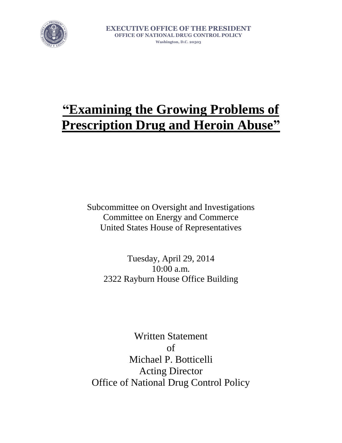

**EXECUTIVE OFFICE OF THE PRESIDENT OFFICE OF NATIONAL DRUG CONTROL POLICY Washington, D.C. 20503**

## **"Examining the Growing Problems of Prescription Drug and Heroin Abuse"**

Subcommittee on Oversight and Investigations Committee on Energy and Commerce United States House of Representatives

Tuesday, April 29, 2014 10:00 a.m. 2322 Rayburn House Office Building

Written Statement of Michael P. Botticelli Acting Director Office of National Drug Control Policy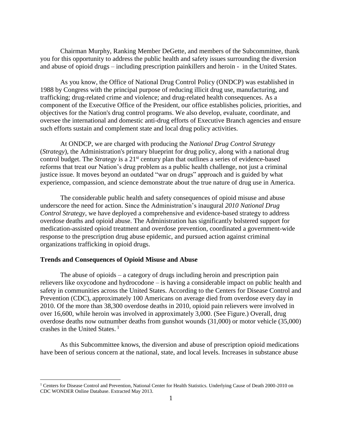Chairman Murphy, Ranking Member DeGette, and members of the Subcommittee, thank you for this opportunity to address the public health and safety issues surrounding the diversion and abuse of opioid drugs – including prescription painkillers and heroin - in the United States.

As you know, the Office of National Drug Control Policy (ONDCP) was established in 1988 by Congress with the principal purpose of reducing illicit drug use, manufacturing, and trafficking; drug-related crime and violence; and drug-related health consequences. As a component of the Executive Office of the President, our office establishes policies, priorities, and objectives for the Nation's drug control programs. We also develop, evaluate, coordinate, and oversee the international and domestic anti-drug efforts of Executive Branch agencies and ensure such efforts sustain and complement state and local drug policy activities.

At ONDCP, we are charged with producing the *National Drug Control Strategy*  (*Strategy*)*,* the Administration's primary blueprint for drug policy, along with a national drug control budget. The *Strategy* is a 21<sup>st</sup> century plan that outlines a series of evidence-based reforms that treat our Nation's drug problem as a public health challenge, not just a criminal justice issue. It moves beyond an outdated "war on drugs" approach and is guided by what experience, compassion, and science demonstrate about the true nature of drug use in America.

The considerable public health and safety consequences of opioid misuse and abuse underscore the need for action. Since the Administration's inaugural *2010 National Drug Control Strategy*, we have deployed a comprehensive and evidence-based strategy to address overdose deaths and opioid abuse. The Administration has significantly bolstered support for medication-assisted opioid treatment and overdose prevention, coordinated a government-wide response to the prescription drug abuse epidemic, and pursued action against criminal organizations trafficking in opioid drugs.

## **Trends and Consequences of Opioid Misuse and Abuse**

l

The abuse of opioids – a category of drugs including heroin and prescription pain relievers like oxycodone and hydrocodone – is having a considerable impact on public health and safety in communities across the United States. According to the Centers for Disease Control and Prevention (CDC), approximately 100 Americans on average died from overdose every day in 2010. Of the more than 38,300 overdose deaths in 2010, opioid pain relievers were involved in over 16,600, while heroin was involved in approximately 3,000. (See Figure.) Overall, drug overdose deaths now outnumber deaths from gunshot wounds (31,000) or motor vehicle (35,000) crashes in the United States. <sup>1</sup>

As this Subcommittee knows, the diversion and abuse of prescription opioid medications have been of serious concern at the national, state, and local levels. Increases in substance abuse

<sup>&</sup>lt;sup>1</sup> Centers for Disease Control and Prevention, National Center for Health Statistics. Underlying Cause of Death 2000-2010 on CDC WONDER Online Database. Extracted May 2013.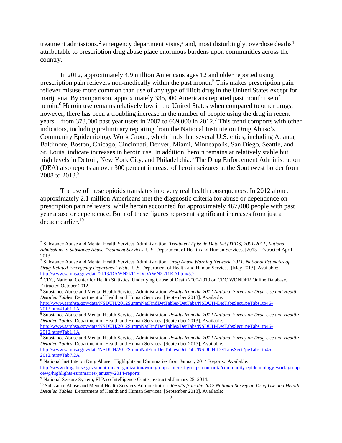treatment admissions,<sup>2</sup> emergency department visits,<sup>3</sup> and, most disturbingly, overdose deaths<sup>4</sup> attributable to prescription drug abuse place enormous burdens upon communities across the country.

In 2012, approximately 4.9 million Americans ages 12 and older reported using prescription pain relievers non-medically within the past month.<sup>5</sup> This makes prescription pain reliever misuse more common than use of any type of illicit drug in the United States except for marijuana. By comparison, approximately 335,000 Americans reported past month use of heroin.<sup>6</sup> Heroin use remains relatively low in the United States when compared to other drugs; however, there has been a troubling increase in the number of people using the drug in recent years – from 373,000 past year users in 2007 to 669,000 in 2012.<sup>7</sup> This trend comports with other indicators, including preliminary reporting from the National Institute on Drug Abuse's Community Epidemiology Work Group, which finds that several U.S. cities, including Atlanta, Baltimore, Boston, Chicago, Cincinnati, Denver, Miami, Minneapolis, San Diego, Seattle, and St. Louis, indicate increases in heroin use. In addition, heroin remains at relatively stable but high levels in Detroit, New York City, and Philadelphia.<sup>8</sup> The Drug Enforcement Administration (DEA) also reports an over 300 percent increase of heroin seizures at the Southwest border from 2008 to 2013.<sup>9</sup>

The use of these opioids translates into very real health consequences. In 2012 alone, approximately 2.1 million Americans met the diagnostic criteria for abuse or dependence on prescription pain relievers, while heroin accounted for approximately 467,000 people with past year abuse or dependence. Both of these figures represent significant increases from just a decade earlier.<sup>10</sup>

<sup>5</sup> Substance Abuse and Mental Health Services Administration. *Results from the 2012 National Survey on Drug Use and Health: Detailed Tables*. Department of Health and Human Services. [September 2013]. Available:

[http://www.samhsa.gov/data/NSDUH/2012SummNatFindDetTables/DetTabs/NSDUH-DetTabsSect1peTabs1to46-](http://www.samhsa.gov/data/NSDUH/2012SummNatFindDetTables/DetTabs/NSDUH-DetTabsSect1peTabs1to46-2012.htm#Tab1.1A) [2012.htm#Tab1.1A](http://www.samhsa.gov/data/NSDUH/2012SummNatFindDetTables/DetTabs/NSDUH-DetTabsSect1peTabs1to46-2012.htm#Tab1.1A)

<sup>6</sup> Substance Abuse and Mental Health Services Administration. *Results from the 2012 National Survey on Drug Use and Health: Detailed Tables*. Department of Health and Human Services. [September 2013]. Available: [http://www.samhsa.gov/data/NSDUH/2012SummNatFindDetTables/DetTabs/NSDUH-DetTabsSect1peTabs1to46-](http://www.samhsa.gov/data/NSDUH/2012SummNatFindDetTables/DetTabs/NSDUH-DetTabsSect1peTabs1to46-2012.htm#Tab1.1A) [2012.htm#Tab1.1A](http://www.samhsa.gov/data/NSDUH/2012SummNatFindDetTables/DetTabs/NSDUH-DetTabsSect1peTabs1to46-2012.htm#Tab1.1A)

l

<sup>2</sup> Substance Abuse and Mental Health Services Administration. *Treatment Episode Data Set (TEDS) 2001-2011, National Admissions to Substance Abuse Treatment Services*. U.S. Department of Health and Human Services. [2013]. Extracted April 2013.

<sup>3</sup> Substance Abuse and Mental Health Services Administration. *Drug Abuse Warning Network, 2011: National Estimates of Drug-Related Emergency Department Visits*. U.S. Department of Health and Human Services. [May 2013]. Available: <http://www.samhsa.gov/data/2k13/DAWN2k11ED/DAWN2k11ED.htm#5.2>

<sup>4</sup> CDC, National Center for Health Statistics. Underlying Cause of Death 2000-2010 on CDC WONDER Online Database. Extracted October 2012.

<sup>7</sup> Substance Abuse and Mental Health Services Administration. *Results from the 2012 National Survey on Drug Use and Health: Detailed Tables*. Department of Health and Human Services. [September 2013]. Available: [http://www.samhsa.gov/data/NSDUH/2012SummNatFindDetTables/DetTabs/NSDUH-DetTabsSect7peTabs1to45-](http://www.samhsa.gov/data/NSDUH/2012SummNatFindDetTables/DetTabs/NSDUH-DetTabsSect7peTabs1to45-2012.htm#Tab7.2A) [2012.htm#Tab7.2A](http://www.samhsa.gov/data/NSDUH/2012SummNatFindDetTables/DetTabs/NSDUH-DetTabsSect7peTabs1to45-2012.htm#Tab7.2A)

<sup>8</sup> National Institute on Drug Abuse. Highlights and Summaries from January 2014 Reports. Available: [http://www.drugabuse.gov/about-nida/organization/workgroups-interest-groups-consortia/community-epidemiology-work-group](http://www.drugabuse.gov/about-nida/organization/workgroups-interest-groups-consortia/community-epidemiology-work-group-cewg/highlights-summaries-january-2014-reports)[cewg/highlights-summaries-january-2014-reports](http://www.drugabuse.gov/about-nida/organization/workgroups-interest-groups-consortia/community-epidemiology-work-group-cewg/highlights-summaries-january-2014-reports)

<sup>&</sup>lt;sup>9</sup> National Seizure System, El Paso Intelligence Center, extracted January 25, 2014.

<sup>&</sup>lt;sup>10</sup> Substance Abuse and Mental Health Services Administration. *Results from the 2012 National Survey on Drug Use and Health: Detailed Tables*. Department of Health and Human Services. [September 2013]. Available: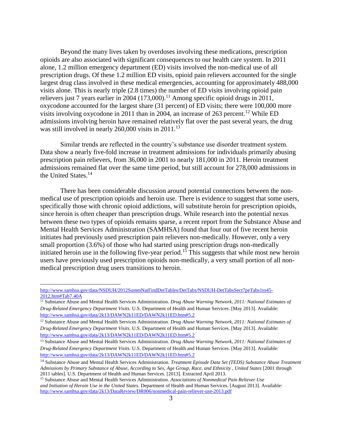Beyond the many lives taken by overdoses involving these medications, prescription opioids are also associated with significant consequences to our health care system. In 2011 alone, 1.2 million emergency department (ED) visits involved the non-medical use of all prescription drugs. Of these 1.2 million ED visits, opioid pain relievers accounted for the single largest drug class involved in these medical emergencies, accounting for approximately 488,000 visits alone. This is nearly triple (2.8 times) the number of ED visits involving opioid pain relievers just 7 years earlier in 2004 (173,000).<sup>11</sup> Among specific opioid drugs in 2011, oxycodone accounted for the largest share (31 percent) of ED visits; there were 100,000 more visits involving oxycodone in 2011 than in 2004, an increase of 263 percent. <sup>12</sup> While ED admissions involving heroin have remained relatively flat over the past several years, the drug was still involved in nearly  $260,000$  visits in  $2011$ .<sup>13</sup>

Similar trends are reflected in the country's substance use disorder treatment system. Data show a nearly five-fold increase in treatment admissions for individuals primarily abusing prescription pain relievers, from 36,000 in 2001 to nearly 181,000 in 2011. Heroin treatment admissions remained flat over the same time period, but still account for 278,000 admissions in the United States.<sup>14</sup>

There has been considerable discussion around potential connections between the nonmedical use of prescription opioids and heroin use. There is evidence to suggest that some users, specifically those with chronic opioid addictions, will substitute heroin for prescription opioids, since heroin is often cheaper than prescription drugs. While research into the potential nexus between these two types of opioids remains sparse, a recent report from the Substance Abuse and Mental Health Services Administration (SAMHSA) found that four out of five recent heroin initiates had previously used prescription pain relievers non-medically. However, only a very small proportion (3.6%) of those who had started using prescription drugs non-medically initiated heroin use in the following five-year period.<sup>15</sup> This suggests that while most new heroin users have previously used prescription opioids non-medically, a very small portion of all nonmedical prescription drug users transitions to heroin.

[http://www.samhsa.gov/data/NSDUH/2012SummNatFindDetTables/DetTabs/NSDUH-DetTabsSect7peTabs1to45-](http://www.samhsa.gov/data/NSDUH/2012SummNatFindDetTables/DetTabs/NSDUH-DetTabsSect7peTabs1to45-2012.htm#Tab7.40A) [2012.htm#Tab7.40A](http://www.samhsa.gov/data/NSDUH/2012SummNatFindDetTables/DetTabs/NSDUH-DetTabsSect7peTabs1to45-2012.htm#Tab7.40A)

<sup>11</sup> Substance Abuse and Mental Health Services Administration. *Drug Abuse Warning Network, 2011: National Estimates of Drug-Related Emergency Department Visits*. U.S. Department of Health and Human Services. [May 2013]. Available: <http://www.samhsa.gov/data/2k13/DAWN2k11ED/DAWN2k11ED.htm#5.2>

<sup>12</sup> Substance Abuse and Mental Health Services Administration. *Drug Abuse Warning Network, 2011: National Estimates of Drug-Related Emergency Department Visits*. U.S. Department of Health and Human Services. [May 2013]. Available: <http://www.samhsa.gov/data/2k13/DAWN2k11ED/DAWN2k11ED.htm#5.2>

<sup>13</sup> Substance Abuse and Mental Health Services Administration. *Drug Abuse Warning Network, 2011: National Estimates of Drug-Related Emergency Department Visits*. U.S. Department of Health and Human Services. [May 2013]. Available: <http://www.samhsa.gov/data/2k13/DAWN2k11ED/DAWN2k11ED.htm#5.2>

<sup>14</sup> Substance Abuse and Mental Health Services Administration. *Treatment Episode Data Set (TEDS) Substance Abuse Treatment Admissions by Primary Substance of Abuse, According to Sex, Age Group, Race, and Ethnicity , United States* [2001 through 2011 tables]. U.S. Department of Health and Human Services. [2013]. Extracted April 2013.

<sup>15</sup> Substance Abuse and Mental Health Services Administration. *Associations of Nonmedical Pain Reliever Use and Initiation of Heroin Use in the United States*. Department of Health and Human Services. [August 2013]. Available: <http://www.samhsa.gov/data/2k13/DataReview/DR006/nonmedical-pain-reliever-use-2013.pdf>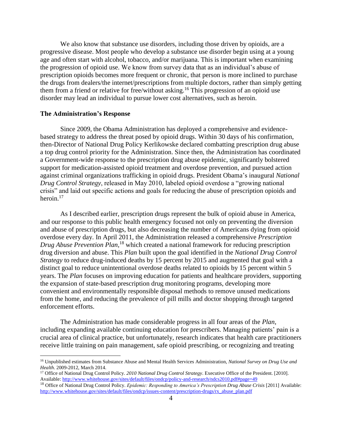We also know that substance use disorders, including those driven by opioids, are a progressive disease. Most people who develop a substance use disorder begin using at a young age and often start with alcohol, tobacco, and/or marijuana. This is important when examining the progression of opioid use. We know from survey data that as an individual's abuse of prescription opioids becomes more frequent or chronic, that person is more inclined to purchase the drugs from dealers/the internet/prescriptions from multiple doctors, rather than simply getting them from a friend or relative for free/without asking.<sup>16</sup> This progression of an opioid use disorder may lead an individual to pursue lower cost alternatives, such as heroin.

## **The Administration's Response**

 $\overline{\phantom{a}}$ 

Since 2009, the Obama Administration has deployed a comprehensive and evidencebased strategy to address the threat posed by opioid drugs. Within 30 days of his confirmation, then-Director of National Drug Policy Kerlikowske declared combatting prescription drug abuse a top drug control priority for the Administration. Since then, the Administration has coordinated a Government-wide response to the prescription drug abuse epidemic, significantly bolstered support for medication-assisted opioid treatment and overdose prevention, and pursued action against criminal organizations trafficking in opioid drugs. President Obama's inaugural *National Drug Control Strategy*, released in May 2010, labeled opioid overdose a "growing national crisis" and laid out specific actions and goals for reducing the abuse of prescription opioids and heroin.<sup>17</sup>

As I described earlier, prescription drugs represent the bulk of opioid abuse in America, and our response to this public health emergency focused not only on preventing the diversion and abuse of prescription drugs, but also decreasing the number of Americans dying from opioid overdose every day. In April 2011, the Administration released a comprehensive *Prescription Drug Abuse Prevention Plan*, <sup>18</sup> which created a national framework for reducing prescription drug diversion and abuse. This *Plan* built upon the goal identified in the *National Drug Control Strategy* to reduce drug-induced deaths by 15 percent by 2015 and augmented that goal with a distinct goal to reduce unintentional overdose deaths related to opioids by 15 percent within 5 years. The *Plan* focuses on improving education for patients and healthcare providers, supporting the expansion of state-based prescription drug monitoring programs, developing more convenient and environmentally responsible disposal methods to remove unused medications from the home, and reducing the prevalence of pill mills and doctor shopping through targeted enforcement efforts.

The Administration has made considerable progress in all four areas of the *Plan*, including expanding available continuing education for prescribers. Managing patients' pain is a crucial area of clinical practice, but unfortunately, research indicates that health care practitioners receive little training on pain management, safe opioid prescribing, or recognizing and treating

<sup>16</sup> Unpublished estimates from Substance Abuse and Mental Health Services Administration, *National Survey on Drug Use and Health*. 2009-2012, March 2014.

<sup>17</sup> Office of National Drug Control Policy. *2010 National Drug Control Strategy*. Executive Office of the President. [2010]. Available[: http://www.whitehouse.gov/sites/default/files/ondcp/policy-and-research/ndcs2010.pdf#page=49](http://www.whitehouse.gov/sites/default/files/ondcp/policy-and-research/ndcs2010.pdf#page=49)

<sup>&</sup>lt;sup>18</sup> Office of National Drug Control Policy. *Epidemic: Responding to America's Prescription Drug Abuse Crisis* [2011] Available: [http://www.whitehouse.gov/sites/default/files/ondcp/issues-content/prescription-drugs/rx\\_abuse\\_plan.pdf](http://www.whitehouse.gov/sites/default/files/ondcp/issues-content/prescription-drugs/rx_abuse_plan.pdf)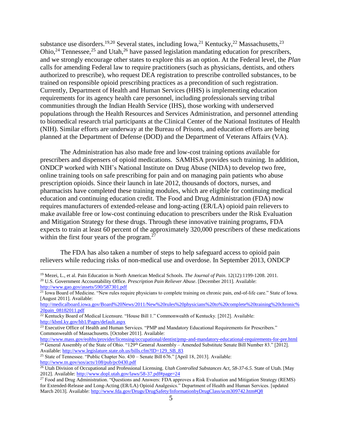substance use disorders.<sup>19,20</sup> Several states, including Iowa,<sup>21</sup> Kentucky,<sup>22</sup> Massachusetts,<sup>23</sup> Ohio,<sup>24</sup> Tennessee,<sup>25</sup> and Utah,<sup>26</sup> have passed legislation mandating education for prescribers, and we strongly encourage other states to explore this as an option. At the Federal level, the *Plan* calls for amending Federal law to require practitioners (such as physicians, dentists, and others authorized to prescribe), who request DEA registration to prescribe controlled substances, to be trained on responsible opioid prescribing practices as a precondition of such registration. Currently, Department of Health and Human Services (HHS) is implementing education requirements for its agency health care personnel, including professionals serving tribal communities through the Indian Health Service (IHS), those working with underserved populations through the Health Resources and Services Administration, and personnel attending to biomedical research trial participants at the Clinical Center of the National Institutes of Health (NIH). Similar efforts are underway at the Bureau of Prisons, and education efforts are being planned at the Department of Defense (DOD) and the Department of Veterans Affairs (VA).

The Administration has also made free and low-cost training options available for prescribers and dispensers of opioid medications. SAMHSA provides such training. In addition, ONDCP worked with NIH's National Institute on Drug Abuse (NIDA) to develop two free, online training tools on safe prescribing for pain and on managing pain patients who abuse prescription opioids. Since their launch in late 2012, thousands of doctors, nurses, and pharmacists have completed these training modules, which are eligible for continuing medical education and continuing education credit. The Food and Drug Administration (FDA) now requires manufacturers of extended-release and long-acting (ER/LA) opioid pain relievers to make available free or low-cost continuing education to prescribers under the Risk Evaluation and Mitigation Strategy for these drugs. Through these innovative training programs, FDA expects to train at least 60 percent of the approximately 320,000 prescribers of these medications within the first four years of the program. $27$ 

The FDA has also taken a number of steps to help safeguard access to opioid pain relievers while reducing risks of non-medical use and overdose. In September 2013, ONDCP

<sup>19</sup> Mezei, L., et al. Pain Education in North American Medical Schools. *The Journal of Pain*. 12(12):1199-1208. 2011. <sup>20</sup> U.S. Government Accountability Office. *Prescription Pain Reliever Abuse*. [December 2011]. Available: <http://www.gao.gov/assets/590/587301.pdf>

 $21$  Iowa Board of Medicine. "New rules require physicians to complete training on chronic pain, end-of-life care." State of Iowa. [August 2011]. Available:

[http://medicalboard.iowa.gov/Board%20News/2011/New%20rules%20physicians%20to%20complete%20training%20chronic%](http://medicalboard.iowa.gov/Board%20News/2011/New%20rules%20physicians%20to%20complete%20training%20chronic%20pain_08182011.pdf) [20pain\\_08182011.pdf](http://medicalboard.iowa.gov/Board%20News/2011/New%20rules%20physicians%20to%20complete%20training%20chronic%20pain_08182011.pdf)

<sup>&</sup>lt;sup>22</sup> Kentucky Board of Medical Licensure. "House Bill 1." Commonwealth of Kentucky. [2012]. Available: <http://kbml.ky.gov/hb1/Pages/default.aspx>

<sup>&</sup>lt;sup>23</sup> Executive Office of Health and Human Services. "PMP and Mandatory Educational Requirements for Prescribers." Commonwealth of Massachusetts. [October 2011]. Available:

<http://www.mass.gov/eohhs/provider/licensing/occupational/dentist/pmp-and-mandatory-educational-requirements-for-pre.html>  $\frac{1}{24}$  General Assembly of the State of Ohio. "129<sup>th</sup> General Assembly – Amended Substitute Senate Bill Number 83." [2012]. Available[: http://www.legislature.state.oh.us/bills.cfm?ID=129\\_SB\\_83](http://www.legislature.state.oh.us/bills.cfm?ID=129_SB_83)

<sup>&</sup>lt;sup>25</sup> State of Tennessee. "Public Chapter No. 430 – Senate Bill 676." [April 18, 2013]. Available: <http://www.tn.gov/sos/acts/108/pub/pc0430.pdf>

<sup>26</sup> Utah Division of Occupational and Professional Licensing. *Utah Controlled Substances Act, 58-37-6.5*. State of Utah. [May 2012]. Available:<http://www.dopl.utah.gov/laws/58-37.pdf#page=24>

<sup>&</sup>lt;sup>27</sup> Food and Drug Administration. "Questions and Answers: FDA approves a Risk Evaluation and Mitigation Strategy (REMS) for Extended-Release and Long-Acting (ER/LA) Opioid Analgesics." Department of Health and Human Services. [updated March 2013]. Available:<http://www.fda.gov/Drugs/DrugSafety/InformationbyDrugClass/ucm309742.htm#Q8>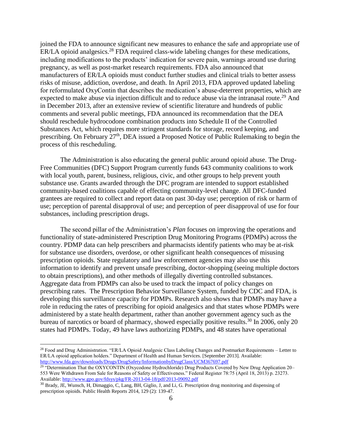joined the FDA to announce significant new measures to enhance the safe and appropriate use of ER/LA opioid analgesics.<sup>28</sup> FDA required class-wide labeling changes for these medications, including modifications to the products' indication for severe pain, warnings around use during pregnancy, as well as post-market research requirements. FDA also announced that manufacturers of ER/LA opioids must conduct further studies and clinical trials to better assess risks of misuse, addiction, overdose, and death. In April 2013, FDA approved updated labeling for reformulated OxyContin that describes the medication's abuse-deterrent properties, which are expected to make abuse via injection difficult and to reduce abuse via the intranasal route.<sup>29</sup> And in December 2013, after an extensive review of scientific literature and hundreds of public comments and several public meetings, FDA announced its recommendation that the DEA should reschedule hydrocodone combination products into Schedule II of the Controlled Substances Act, which requires more stringent standards for storage, record keeping, and prescribing. On February 27<sup>th</sup>, DEA issued a Proposed Notice of Public Rulemaking to begin the process of this rescheduling.

The Administration is also educating the general public around opioid abuse. The Drug-Free Communities (DFC) Support Program currently funds 643 community coalitions to work with local youth, parent, business, religious, civic, and other groups to help prevent youth substance use. Grants awarded through the DFC program are intended to support established community-based coalitions capable of effecting community-level change. All DFC-funded grantees are required to collect and report data on past 30-day use; perception of risk or harm of use; perception of parental disapproval of use; and perception of peer disapproval of use for four substances, including prescription drugs.

The second pillar of the Administration's *Plan* focuses on improving the operations and functionality of state-administered Prescription Drug Monitoring Programs (PDMPs) across the country. PDMP data can help prescribers and pharmacists identify patients who may be at-risk for substance use disorders, overdose, or other significant health consequences of misusing prescription opioids. State regulatory and law enforcement agencies may also use this information to identify and prevent unsafe prescribing, doctor-shopping (seeing multiple doctors to obtain prescriptions), and other methods of illegally diverting controlled substances. Aggregate data from PDMPs can also be used to track the impact of policy changes on prescribing rates. The Prescription Behavior Surveillance System, funded by CDC and FDA, is developing this surveillance capacity for PDMPs. Research also shows that PDMPs may have a role in reducing the rates of prescribing for opioid analgesics and that states whose PDMPs were administered by a state health department, rather than another government agency such as the bureau of narcotics or board of pharmacy, showed especially positive results.<sup>30</sup> In 2006, only 20 states had PDMPs. Today, 49 have laws authorizing PDMPs, and 48 states have operational

<sup>&</sup>lt;sup>28</sup> Food and Drug Administration. "ER/LA Opioid Analgesic Class Labeling Changes and Postmarket Requirements – Letter to ER/LA opioid application holders." Department of Health and Human Services. [September 2013]. Available: <http://www.fda.gov/downloads/Drugs/DrugSafety/InformationbyDrugClass/UCM367697.pdf>

<sup>&</sup>lt;sup>29</sup> "Determination That the OXYCONTIN (Oxycodone Hydrochloride) Drug Products Covered by New Drug Application 20– 553 Were Withdrawn From Sale for Reasons of Safety or Effectiveness." Federal Register 78:75 (April 18, 2013) p. 23273. Available[: http://www.gpo.gov/fdsys/pkg/FR-2013-04-18/pdf/2013-09092.pdf](http://www.gpo.gov/fdsys/pkg/FR-2013-04-18/pdf/2013-09092.pdf)

<sup>30</sup> Brady, JE, Wunsch, H, Dimaggio, C, Lang, BH, Giglio, J, and Li, G. Prescription drug monitoring and dispensing of prescription opioids. Public Health Reports 2014, 129 (2): 139-47.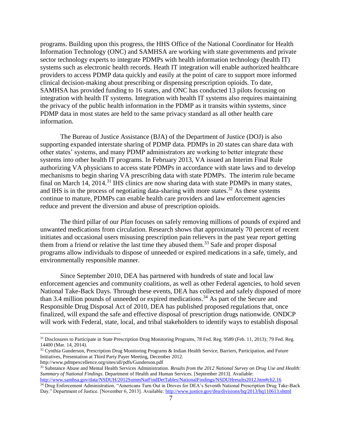programs. Building upon this progress, the HHS Office of the National Coordinator for Health Information Technology (ONC) and SAMHSA are working with state governments and private sector technology experts to integrate PDMPs with health information technology (health IT) systems such as electronic health records. Heath IT integration will enable authorized healthcare providers to access PDMP data quickly and easily at the point of care to support more informed clinical decision-making about prescribing or dispensing prescription opioids. To date, SAMHSA has provided funding to 16 states, and ONC has conducted 13 pilots focusing on integration with health IT systems. Integration with health IT systems also requires maintaining the privacy of the public health information in the PDMP as it transits within systems, since PDMP data in most states are held to the same privacy standard as all other health care information.

The Bureau of Justice Assistance (BJA) of the Department of Justice (DOJ) is also supporting expanded interstate sharing of PDMP data. PDMPs in 20 states can share data with other states' systems, and many PDMP administrators are working to better integrate these systems into other health IT programs. In February 2013, VA issued an Interim Final Rule authorizing VA physicians to access state PDMPs in accordance with state laws and to develop mechanisms to begin sharing VA prescribing data with state PDMPs. The interim rule became final on March 14, 2014.<sup>31</sup> IHS clinics are now sharing data with state PDMPs in many states, and IHS is in the process of negotiating data-sharing with more states.<sup>32</sup> As these systems continue to mature, PDMPs can enable health care providers and law enforcement agencies reduce and prevent the diversion and abuse of prescription opioids.

The third pillar of our *Plan* focuses on safely removing millions of pounds of expired and unwanted medications from circulation. Research shows that approximately 70 percent of recent initiates and occasional users misusing prescription pain relievers in the past year report getting them from a friend or relative the last time they abused them.<sup>33</sup> Safe and proper disposal programs allow individuals to dispose of unneeded or expired medications in a safe, timely, and environmentally responsible manner.

Since September 2010, DEA has partnered with hundreds of state and local law enforcement agencies and community coalitions, as well as other Federal agencies, to hold seven National Take-Back Days. Through these events, DEA has collected and safely disposed of more than 3.4 million pounds of unneeded or expired medications.<sup>34</sup> As part of the Secure and Responsible Drug Disposal Act of 2010, DEA has published proposed regulations that, once finalized, will expand the safe and effective disposal of prescription drugs nationwide. ONDCP will work with Federal, state, local, and tribal stakeholders to identify ways to establish disposal

l

<sup>31</sup> Disclosures to Participate in State Prescription Drug Monitoring Programs, 78 Fed. Reg. 9589 (Feb. 11, 2013); 79 Fed. Reg. 14400 (Mar. 14, 2014).

<sup>&</sup>lt;sup>32</sup> Cynthia Gunderson, Prescription Drug Monitoring Programs & Indian Health Service, Barriers, Participation, and Future Initiatives, Presentation at Third Party Payer Meeting, December 2012.

http://www.pdmpexcellence.org/sites/all/pdfs/Gunderson.pdf <sup>33</sup> Substance Abuse and Mental Health Services Administration. *Results from the 2012 National Survey on Drug Use and Health:* 

*Summary of National Findings*. Department of Health and Human Services. [September 2013]. Available: <http://www.samhsa.gov/data/NSDUH/2012SummNatFindDetTables/NationalFindings/NSDUHresults2012.htm#ch2.16> <sup>34</sup> Drug Enforcement Administration. "Americans Turn Out in Droves for DEA's Seventh National Prescription Drug Take-Back

Day." Department of Justice. [November 6, 2013]. Available:<http://www.justice.gov/dea/divisions/hq/2013/hq110613.shtml>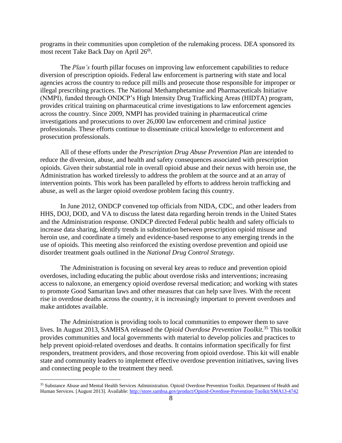programs in their communities upon completion of the rulemaking process. DEA sponsored its most recent Take Back Day on April 26<sup>th</sup>.

The *Plan's* fourth pillar focuses on improving law enforcement capabilities to reduce diversion of prescription opioids. Federal law enforcement is partnering with state and local agencies across the country to reduce pill mills and prosecute those responsible for improper or illegal prescribing practices. The National Methamphetamine and Pharmaceuticals Initiative (NMPI), funded through ONDCP's High Intensity Drug Trafficking Areas (HIDTA) program, provides critical training on pharmaceutical crime investigations to law enforcement agencies across the country. Since 2009, NMPI has provided training in pharmaceutical crime investigations and prosecutions to over 26,000 law enforcement and criminal justice professionals. These efforts continue to disseminate critical knowledge to enforcement and prosecution professionals.

All of these efforts under the *Prescription Drug Abuse Prevention Plan* are intended to reduce the diversion, abuse, and health and safety consequences associated with prescription opioids. Given their substantial role in overall opioid abuse and their nexus with heroin use, the Administration has worked tirelessly to address the problem at the source and at an array of intervention points. This work has been paralleled by efforts to address heroin trafficking and abuse, as well as the larger opioid overdose problem facing this country.

In June 2012, ONDCP convened top officials from NIDA, CDC, and other leaders from HHS, DOJ, DOD, and VA to discuss the latest data regarding heroin trends in the United States and the Administration response. ONDCP directed Federal public health and safety officials to increase data sharing, identify trends in substitution between prescription opioid misuse and heroin use, and coordinate a timely and evidence-based response to any emerging trends in the use of opioids. This meeting also reinforced the existing overdose prevention and opioid use disorder treatment goals outlined in the *National Drug Control Strategy*.

The Administration is focusing on several key areas to reduce and prevention opioid overdoses, including educating the public about overdose risks and interventions; increasing access to naloxone, an emergency opioid overdose reversal medication; and working with states to promote Good Samaritan laws and other measures that can help save lives. With the recent rise in overdose deaths across the country, it is increasingly important to prevent overdoses and make antidotes available.

The Administration is providing tools to local communities to empower them to save lives. In August 2013, SAMHSA released the *Opioid Overdose Prevention Toolkit.* <sup>35</sup> This toolkit provides communities and local governments with material to develop policies and practices to help prevent opioid-related overdoses and deaths. It contains information specifically for first responders, treatment providers, and those recovering from opioid overdose. This kit will enable state and community leaders to implement effective overdose prevention initiatives, saving lives and connecting people to the treatment they need.

l

<sup>35</sup> Substance Abuse and Mental Health Services Administration. Opioid Overdose Prevention Toolkit. Department of Health and Human Services. [August 2013]. Available:<http://store.samhsa.gov/product/Opioid-Overdose-Prevention-Toolkit/SMA13-4742>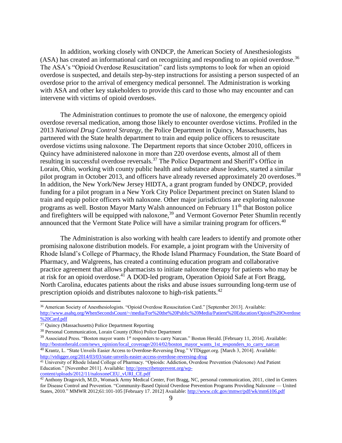In addition, working closely with ONDCP, the American Society of Anesthesiologists (ASA) has created an informational card on recognizing and responding to an opioid overdose.<sup>36</sup> The ASA's "Opioid Overdose Resuscitation" card lists symptoms to look for when an opioid overdose is suspected, and details step-by-step instructions for assisting a person suspected of an overdose prior to the arrival of emergency medical personnel. The Administration is working with ASA and other key stakeholders to provide this card to those who may encounter and can intervene with victims of opioid overdoses.

The Administration continues to promote the use of naloxone, the emergency opioid overdose reversal medication, among those likely to encounter overdose victims. Profiled in the 2013 *National Drug Control Strategy*, the Police Department in Quincy, Massachusetts, has partnered with the State health department to train and equip police officers to resuscitate overdose victims using naloxone. The Department reports that since October 2010, officers in Quincy have administered naloxone in more than 220 overdose events, almost all of them resulting in successful overdose reversals.<sup>37</sup> The Police Department and Sheriff's Office in Lorain, Ohio, working with county public health and substance abuse leaders, started a similar pilot program in October 2013, and officers have already reversed approximately 20 overdoses.<sup>38</sup> In addition, the New York/New Jersey HIDTA, a grant program funded by ONDCP, provided funding for a pilot program in a New York City Police Department precinct on Staten Island to train and equip police officers with naloxone. Other major jurisdictions are exploring naloxone programs as well. Boston Mayor Marty Walsh announced on February 11<sup>th</sup> that Boston police and firefighters will be equipped with naloxone,<sup>39</sup> and Vermont Governor Peter Shumlin recently announced that the Vermont State Police will have a similar training program for officers.<sup>40</sup>

The Administration is also working with health care leaders to identify and promote other promising naloxone distribution models. For example, a joint program with the University of Rhode Island's College of Pharmacy, the Rhode Island Pharmacy Foundation, the State Board of Pharmacy, and Walgreens, has created a continuing education program and collaborative practice agreement that allows pharmacists to initiate naloxone therapy for patients who may be at risk for an opioid overdose.<sup>41</sup> A DOD-led program, Operation Opioid Safe at Fort Bragg, North Carolina, educates patients about the risks and abuse issues surrounding long-term use of prescription opioids and distributes naloxone to high-risk patients.<sup>42</sup>

 $\overline{\phantom{a}}$ 

<sup>41</sup> University of Rhode Island College of Pharmacy. "Opioids: Addiction, Overdose Prevention (Naloxone) And Patient Education." [November 2011]. Available: [http://prescribetoprevent.org/wp](http://prescribetoprevent.org/wp-content/uploads/2012/11/naloxoneCEU_vURI_CE.pdf)[content/uploads/2012/11/naloxoneCEU\\_vURI\\_CE.pdf](http://prescribetoprevent.org/wp-content/uploads/2012/11/naloxoneCEU_vURI_CE.pdf)

<sup>36</sup> American Society of Anesthesiologists. "Opioid Overdose Resuscitation Card." [September 2013]. Available: [http://www.asahq.org/WhenSecondsCount/~/media/For%20the%20Public%20Media/Patient%20Education/Opioid%20Overdose](http://www.asahq.org/WhenSecondsCount/~/media/For%20the%20Public%20Media/Patient%20Education/Opioid%20Overdose%20Card.pdf) [%20Card.pdf](http://www.asahq.org/WhenSecondsCount/~/media/For%20the%20Public%20Media/Patient%20Education/Opioid%20Overdose%20Card.pdf)

<sup>37</sup> Quincy (Massachusetts) Police Department Reporting

<sup>38</sup> Personal Communication, Lorain County (Ohio) Police Department

<sup>&</sup>lt;sup>39</sup> Associated Press. "Boston mayor wants 1<sup>st</sup> responders to carry Narcan." Boston Herald. [February 11, 2014]. Available: [http://bostonherald.com/news\\_opinion/local\\_coverage/2014/02/boston\\_mayor\\_wants\\_1st\\_responders\\_to\\_carry\\_narcan](http://bostonherald.com/news_opinion/local_coverage/2014/02/boston_mayor_wants_1st_responders_to_carry_narcan) <sup>40</sup> Krantz, L. "State Unveils Easier Access to Overdose-Reversing Drug." VTDigger.org. [March 3, 2014]. Available:

<http://vtdigger.org/2014/03/03/state-unveils-easier-access-overdose-reversing-drug>

 $42$  Anthony Dragovich, M.D., Womack Army Medical Center, Fort Bragg, NC, personal communication, 2011, cited in Centers for Disease Control and Prevention. "Community-Based Opioid Overdose Prevention Programs Providing Naloxone — United States, 2010." MMWR 2012;61:101-105 [February 17. 2012] Available[: http://www.cdc.gov/mmwr/pdf/wk/mm6106.pdf](http://www.cdc.gov/mmwr/pdf/wk/mm6106.pdf)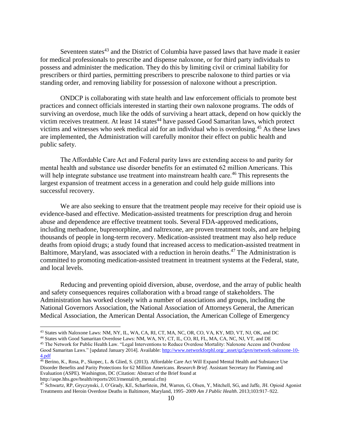Seventeen states $43$  and the District of Columbia have passed laws that have made it easier for medical professionals to prescribe and dispense naloxone, or for third party individuals to possess and administer the medication. They do this by limiting civil or criminal liability for prescribers or third parties, permitting prescribers to prescribe naloxone to third parties or via standing order, and removing liability for possession of naloxone without a prescription.

ONDCP is collaborating with state health and law enforcement officials to promote best practices and connect officials interested in starting their own naloxone programs. The odds of surviving an overdose, much like the odds of surviving a heart attack, depend on how quickly the victim receives treatment. At least 14 states<sup>44</sup> have passed Good Samaritan laws, which protect victims and witnesses who seek medical aid for an individual who is overdosing.<sup>45</sup> As these laws are implemented, the Administration will carefully monitor their effect on public health and public safety.

The Affordable Care Act and Federal parity laws are extending access to and parity for mental health and substance use disorder benefits for an estimated 62 million Americans. This will help integrate substance use treatment into mainstream health care.<sup>46</sup> This represents the largest expansion of treatment access in a generation and could help guide millions into successful recovery.

We are also seeking to ensure that the treatment people may receive for their opioid use is evidence-based and effective. Medication-assisted treatments for prescription drug and heroin abuse and dependence are effective treatment tools. Several FDA-approved medications, including methadone, buprenorphine, and naltrexone, are proven treatment tools, and are helping thousands of people in long-term recovery. Medication-assisted treatment may also help reduce deaths from opioid drugs; a study found that increased access to medication-assisted treatment in Baltimore, Maryland, was associated with a reduction in heroin deaths.<sup>47</sup> The Administration is committed to promoting medication-assisted treatment in treatment systems at the Federal, state, and local levels.

Reducing and preventing opioid diversion, abuse, overdose, and the array of public health and safety consequences requires collaboration with a broad range of stakeholders. The Administration has worked closely with a number of associations and groups, including the National Governors Association, the National Association of Attorneys General, the American Medical Association, the American Dental Association, the American College of Emergency

 $\overline{\phantom{a}}$ 

<sup>47</sup> Schwartz, RP, Gryczynski, J, O'Grady, KE, Scharfstein, JM, Warren, G, Olsen, Y, Mitchell, SG, and Jaffe, JH. Opioid Agonist Treatments and Heroin Overdose Deaths in Baltimore, Maryland, 1995–2009 *Am J Public Health*. 2013;103:917–922.

<sup>43</sup> States with Naloxone Laws: NM, NY, IL, WA, CA, RI, CT, MA, NC, OR, CO, VA, KY, MD, VT, NJ, OK, and DC

<sup>44</sup> States with Good Samaritan Overdose Laws: NM, WA, NY, CT, IL, CO, RI, FL, MA, CA, NC, NJ, VT, and DE

<sup>45</sup> The Network for Public Health Law. "Legal Interventions to Reduce Overdose Mortality: Naloxone Access and Overdose Good Samaritan Laws." [updated January 2014]. Available[: http://www.networkforphl.org/\\_asset/qz5pvn/network-naloxone-10-](http://www.networkforphl.org/_asset/qz5pvn/network-naloxone-10-4.pdf) [4.pdf](http://www.networkforphl.org/_asset/qz5pvn/network-naloxone-10-4.pdf)

<sup>46</sup> Berino, K., Rosa, P., Skopec, L. & Glied, S. (2013). Affordable Care Act Will Expand Mental Health and Substance Use Disorder Benefits and Parity Protections for 62 Million Americans. *Research Brief.* Assistant Secretary for Planning and Evaluation (ASPE). Washington, DC (Citation: Abstract of the Brief found at http://aspe.hhs.gov/health/reports/2013/mental/rb\_mental.cfm)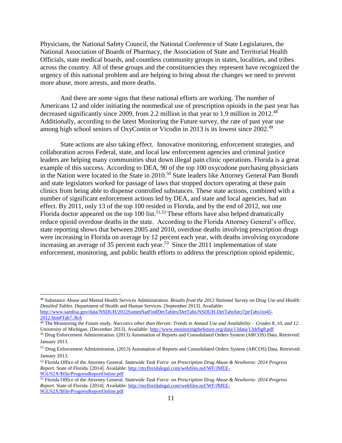Physicians, the National Safety Council, the National Conference of State Legislatures, the National Association of Boards of Pharmacy, the Association of State and Territorial Health Officials, state medical boards, and countless community groups in states, localities, and tribes across the country. All of these groups and the constituencies they represent have recognized the urgency of this national problem and are helping to bring about the changes we need to prevent more abuse, more arrests, and more deaths.

And there are some signs that these national efforts are working. The number of Americans 12 and older initiating the nonmedical use of prescription opioids in the past year has decreased significantly since 2009, from 2.2 million in that year to 1.9 million in 2012.<sup>48</sup> Additionally, according to the latest Monitoring the Future survey, the rate of past year use among high school seniors of OxyContin or Vicodin in 2013 is its lowest since 2002.<sup>49</sup>

State actions are also taking effect. Innovative monitoring, enforcement strategies, and collaboration across Federal, state, and local law enforcement agencies and criminal justice leaders are helping many communities shut down illegal pain clinic operations. Florida is a great example of this success. According to DEA, 90 of the top 100 oxycodone purchasing physicians in the Nation were located in the State in 2010.<sup>50</sup> State leaders like Attorney General Pam Bondi and state legislators worked for passage of laws that stopped doctors operating at these pain clinics from being able to dispense controlled substances. These state actions, combined with a number of significant enforcement actions led by DEA, and state and local agencies, had an effect. By 2011, only 13 of the top 100 resided in Florida, and by the end of 2012, not one Florida doctor appeared on the top 100 list.<sup>51,52</sup> These efforts have also helped dramatically reduce opioid overdose deaths in the state. According to the Florida Attorney General's office, state reporting shows that between 2005 and 2010, overdose deaths involving prescription drugs were increasing in Florida on average by 12 percent each year, with deaths involving oxycodone increasing an average of 35 percent each year.<sup>53</sup> Since the 2011 implementation of state enforcement, monitoring, and public health efforts to address the prescription opioid epidemic,

<sup>48</sup> Substance Abuse and Mental Health Services Administration. *Results from the 2012 National Survey on Drug Use and Health: Detailed Tables*. Department of Health and Human Services. [September 2013]. Available: [http://www.samhsa.gov/data/NSDUH/2012SummNatFindDetTables/DetTabs/NSDUH-DetTabsSect7peTabs1to45-](http://www.samhsa.gov/data/NSDUH/2012SummNatFindDetTables/DetTabs/NSDUH-DetTabsSect7peTabs1to45-2012.htm#Tab7.36A)

[<sup>2012.</sup>htm#Tab7.36A](http://www.samhsa.gov/data/NSDUH/2012SummNatFindDetTables/DetTabs/NSDUH-DetTabsSect7peTabs1to45-2012.htm#Tab7.36A)

<sup>49</sup> The Monitoring the Future study. *Narcotics other than Heroin: Trends in Annual Use and Availability – Grades 8, 10, and 12*. University of Michigan. [December 2013]. Available[: http://www.monitoringthefuture.org/data/13data/13drfig8.pdf](http://www.monitoringthefuture.org/data/13data/13drfig8.pdf)

<sup>50</sup> Drug Enforcement Administration. (2013) Automation of Reports and Consolidated Orders System (ARCOS) Data. Retrieved: January 2013.

<sup>51</sup> Drug Enforcement Administration. (2013) Automation of Reports and Consolidated Orders System (ARCOS) Data. Retrieved: January 2013.

<sup>52</sup> Florida Office of the Attorney General. *Statewide Task Force on Prescription Drug Abuse & Newborns: 2014 Progress Report.* State of Florida. [2014]. Available[: http://myfloridalegal.com/webfiles.nsf/WF/JMEE-](http://myfloridalegal.com/webfiles.nsf/WF/JMEE-9GUS2X/$file/ProgressReportOnline.pdf)[9GUS2X/\\$file/ProgressReportOnline.pdf](http://myfloridalegal.com/webfiles.nsf/WF/JMEE-9GUS2X/$file/ProgressReportOnline.pdf)

<sup>53</sup> Florida Office of the Attorney General. *Statewide Task Force on Prescription Drug Abuse & Newborns: 2014 Progress Report.* State of Florida. [2014]. Available[: http://myfloridalegal.com/webfiles.nsf/WF/JMEE-](http://myfloridalegal.com/webfiles.nsf/WF/JMEE-9GUS2X/$file/ProgressReportOnline.pdf)[9GUS2X/\\$file/ProgressReportOnline.pdf](http://myfloridalegal.com/webfiles.nsf/WF/JMEE-9GUS2X/$file/ProgressReportOnline.pdf)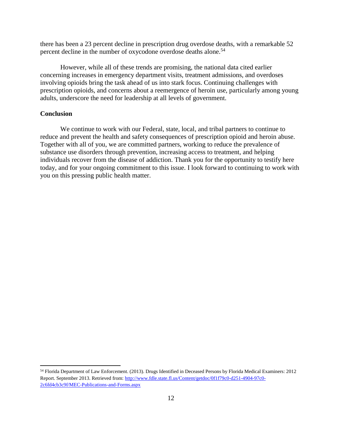there has been a 23 percent decline in prescription drug overdose deaths, with a remarkable 52 percent decline in the number of oxycodone overdose deaths alone.<sup>54</sup>

However, while all of these trends are promising, the national data cited earlier concerning increases in emergency department visits, treatment admissions, and overdoses involving opioids bring the task ahead of us into stark focus. Continuing challenges with prescription opioids, and concerns about a reemergence of heroin use, particularly among young adults, underscore the need for leadership at all levels of government.

## **Conclusion**

 $\overline{\phantom{a}}$ 

We continue to work with our Federal, state, local, and tribal partners to continue to reduce and prevent the health and safety consequences of prescription opioid and heroin abuse. Together with all of you, we are committed partners, working to reduce the prevalence of substance use disorders through prevention, increasing access to treatment, and helping individuals recover from the disease of addiction. Thank you for the opportunity to testify here today, and for your ongoing commitment to this issue. I look forward to continuing to work with you on this pressing public health matter.

<sup>54</sup> Florida Department of Law Enforcement. (2013). Drugs Identified in Deceased Persons by Florida Medical Examiners: 2012 Report. September 2013. Retrieved from[: http://www.fdle.state.fl.us/Content/getdoc/0f1f79c0-d251-4904-97c0-](http://www.fdle.state.fl.us/Content/getdoc/0f1f79c0-d251-4904-97c0-2c6fd4cb3c9f/MEC-Publications-and-Forms.aspx) [2c6fd4cb3c9f/MEC-Publications-and-Forms.aspx](http://www.fdle.state.fl.us/Content/getdoc/0f1f79c0-d251-4904-97c0-2c6fd4cb3c9f/MEC-Publications-and-Forms.aspx)